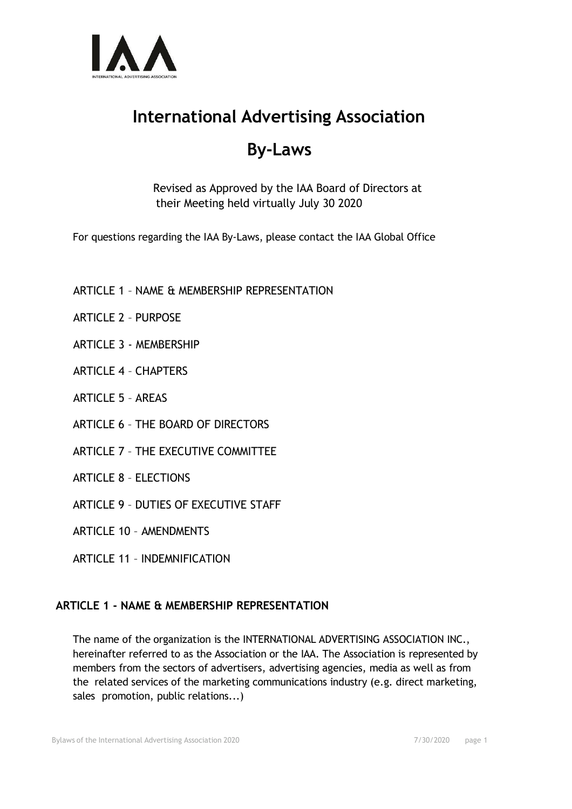

# **International Advertising Association**

# **By-Laws**

Revised as Approved by the IAA Board of Directors at their Meeting held virtually July 30 2020

For questions regarding the IAA By-Laws, please contact the IAA Global Office

- ARTICLE 1 NAME & MEMBERSHIP REPRESENTATION
- ARTICLE 2 PURPOSE
- ARTICLE 3 MEMBERSHIP
- ARTICLE 4 CHAPTERS
- ARTICLE 5 AREAS
- ARTICLE 6 THE BOARD OF DIRECTORS
- ARTICLE 7 THE EXECUTIVE COMMITTEE
- ARTICLE 8 ELECTIONS
- ARTICLE 9 DUTIES OF EXECUTIVE STAFF
- ARTICLE 10 AMENDMENTS
- ARTICLE 11 INDEMNIFICATION

# **ARTICLE 1 - NAME & MEMBERSHIP REPRESENTATION**

The name of the organization is the INTERNATIONAL ADVERTISING ASSOCIATION INC., hereinafter referred to as the Association or the IAA. The Association is represented by members from the sectors of advertisers, advertising agencies, media as well as from the related services of the marketing communications industry (e.g. direct marketing, sales promotion, public relations...)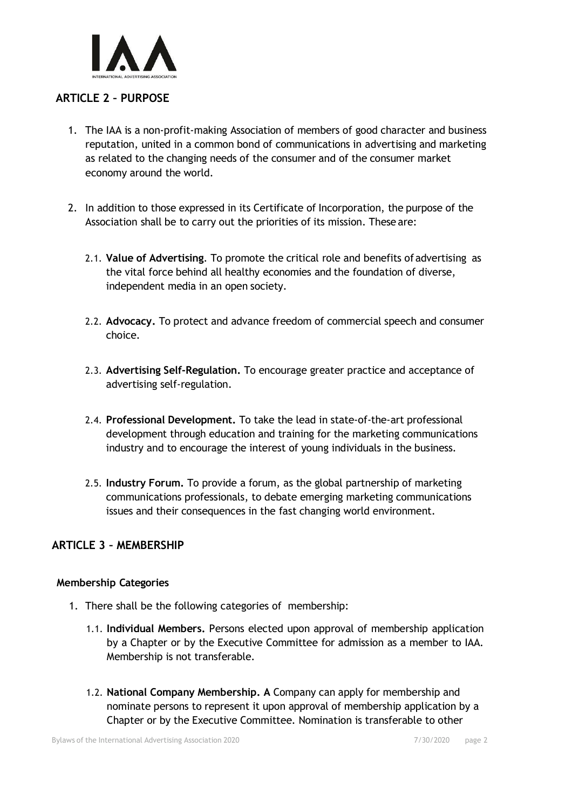

#### **ARTICLE 2 – PURPOSE**

- 1. The IAA is a non-profit-making Association of members of good character and business reputation, united in a common bond of communications in advertising and marketing as related to the changing needs of the consumer and of the consumer market economy around the world.
- 2. In addition to those expressed in its Certificate of Incorporation, the purpose of the Association shall be to carry out the priorities of its mission. These are:
	- 2.1. **Value of Advertising**. To promote the critical role and benefits ofadvertising as the vital force behind all healthy economies and the foundation of diverse, independent media in an open society.
	- 2.2. **Advocacy.** To protect and advance freedom of commercial speech and consumer choice.
	- 2.3. **Advertising Self-Regulation.** To encourage greater practice and acceptance of advertising self-regulation.
	- 2.4. **Professional Development.** To take the lead in state-of-the-art professional development through education and training for the marketing communications industry and to encourage the interest of young individuals in the business.
	- 2.5. **Industry Forum.** To provide a forum, as the global partnership of marketing communications professionals, to debate emerging marketing communications issues and their consequences in the fast changing world environment.

#### **ARTICLE 3 – MEMBERSHIP**

#### **Membership Categories**

- 1. There shall be the following categories of membership:
	- 1.1. **Individual Members.** Persons elected upon approval of membership application by a Chapter or by the Executive Committee for admission as a member to IAA. Membership is not transferable.
	- 1.2. **National Company Membership. A** Company can apply for membership and nominate persons to represent it upon approval of membership application by a Chapter or by the Executive Committee. Nomination is transferable to other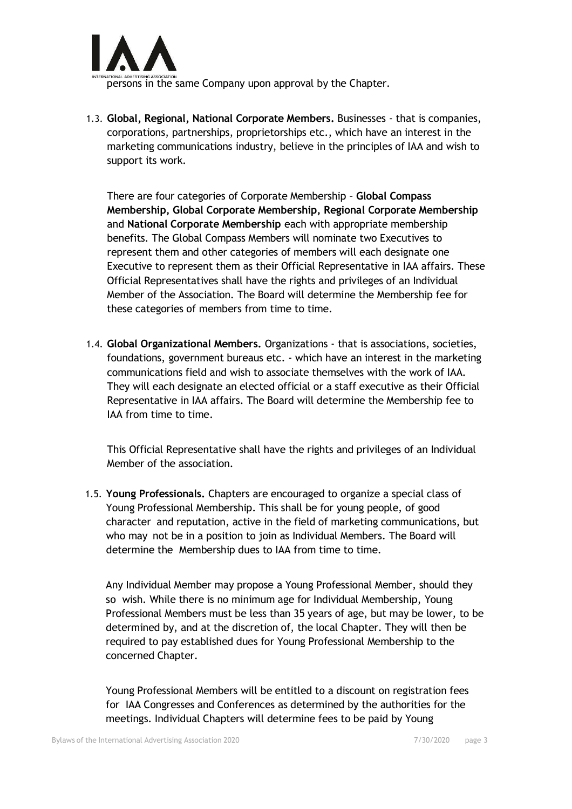

persons in the same Company upon approval by the Chapter.

1.3. **Global, Regional, National Corporate Members.** Businesses - that is companies, corporations, partnerships, proprietorships etc., which have an interest in the marketing communications industry, believe in the principles of IAA and wish to support its work.

There are four categories of Corporate Membership – **Global Compass Membership, Global Corporate Membership, Regional Corporate Membership** and **National Corporate Membership** each with appropriate membership benefits. The Global Compass Members will nominate two Executives to represent them and other categories of members will each designate one Executive to represent them as their Official Representative in IAA affairs. These Official Representatives shall have the rights and privileges of an Individual Member of the Association. The Board will determine the Membership fee for these categories of members from time to time.

1.4. **Global Organizational Members.** Organizations - that is associations, societies, foundations, government bureaus etc. - which have an interest in the marketing communications field and wish to associate themselves with the work of IAA. They will each designate an elected official or a staff executive as their Official Representative in IAA affairs. The Board will determine the Membership fee to IAA from time to time.

This Official Representative shall have the rights and privileges of an Individual Member of the association.

1.5. **Young Professionals.** Chapters are encouraged to organize a special class of Young Professional Membership. This shall be for young people, of good character and reputation, active in the field of marketing communications, but who may not be in a position to join as Individual Members. The Board will determine the Membership dues to IAA from time to time.

Any Individual Member may propose a Young Professional Member, should they so wish. While there is no minimum age for Individual Membership, Young Professional Members must be less than 35 years of age, but may be lower, to be determined by, and at the discretion of, the local Chapter. They will then be required to pay established dues for Young Professional Membership to the concerned Chapter.

Young Professional Members will be entitled to a discount on registration fees for IAA Congresses and Conferences as determined by the authorities for the meetings. Individual Chapters will determine fees to be paid by Young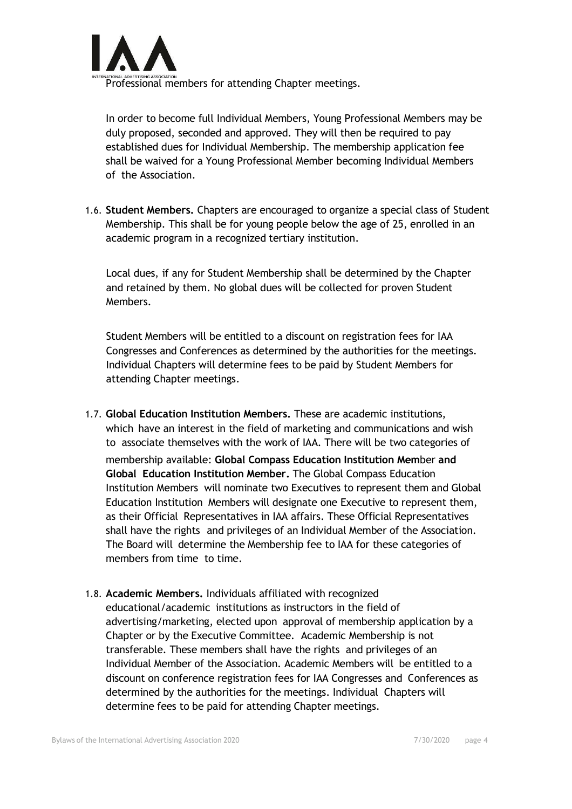

Professional members for attending Chapter meetings.

In order to become full Individual Members, Young Professional Members may be duly proposed, seconded and approved. They will then be required to pay established dues for Individual Membership. The membership application fee shall be waived for a Young Professional Member becoming Individual Members of the Association.

1.6. **Student Members.** Chapters are encouraged to organize a special class of Student Membership. This shall be for young people below the age of 25, enrolled in an academic program in a recognized tertiary institution.

Local dues, if any for Student Membership shall be determined by the Chapter and retained by them. No global dues will be collected for proven Student Members.

Student Members will be entitled to a discount on registration fees for IAA Congresses and Conferences as determined by the authorities for the meetings. Individual Chapters will determine fees to be paid by Student Members for attending Chapter meetings.

- 1.7. **Global Education Institution Members.** These are academic institutions, which have an interest in the field of marketing and communications and wish to associate themselves with the work of IAA. There will be two categories of membership available: **Global Compass Education Institution Mem**ber **and Global Education Institution Member.** The Global Compass Education Institution Members will nominate two Executives to represent them and Global Education Institution Members will designate one Executive to represent them, as their Official Representatives in IAA affairs. These Official Representatives shall have the rights and privileges of an Individual Member of the Association. The Board will determine the Membership fee to IAA for these categories of members from time to time.
- 1.8. **Academic Members.** Individuals affiliated with recognized educational/academic institutions as instructors in the field of advertising/marketing, elected upon approval of membership application by a Chapter or by the Executive Committee. Academic Membership is not transferable. These members shall have the rights and privileges of an Individual Member of the Association. Academic Members will be entitled to a discount on conference registration fees for IAA Congresses and Conferences as determined by the authorities for the meetings. Individual Chapters will determine fees to be paid for attending Chapter meetings.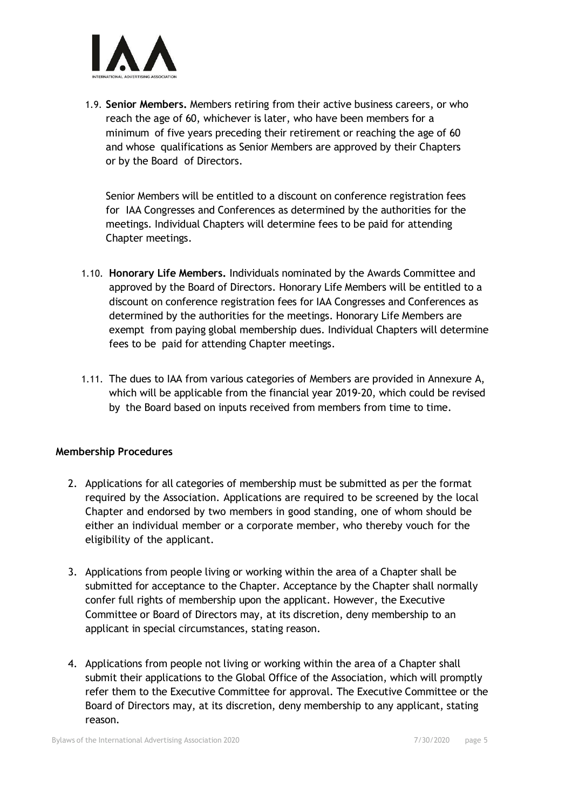

1.9. **Senior Members.** Members retiring from their active business careers, or who reach the age of 60, whichever is later, who have been members for a minimum of five years preceding their retirement or reaching the age of 60 and whose qualifications as Senior Members are approved by their Chapters or by the Board of Directors.

Senior Members will be entitled to a discount on conference registration fees for IAA Congresses and Conferences as determined by the authorities for the meetings. Individual Chapters will determine fees to be paid for attending Chapter meetings.

- 1.10. **Honorary Life Members.** Individuals nominated by the Awards Committee and approved by the Board of Directors. Honorary Life Members will be entitled to a discount on conference registration fees for IAA Congresses and Conferences as determined by the authorities for the meetings. Honorary Life Members are exempt from paying global membership dues. Individual Chapters will determine fees to be paid for attending Chapter meetings.
- 1.11. The dues to IAA from various categories of Members are provided in Annexure A, which will be applicable from the financial year 2019-20, which could be revised by the Board based on inputs received from members from time to time.

#### **Membership Procedures**

- 2. Applications for all categories of membership must be submitted as per the format required by the Association. Applications are required to be screened by the local Chapter and endorsed by two members in good standing, one of whom should be either an individual member or a corporate member, who thereby vouch for the eligibility of the applicant.
- 3. Applications from people living or working within the area of a Chapter shall be submitted for acceptance to the Chapter. Acceptance by the Chapter shall normally confer full rights of membership upon the applicant. However, the Executive Committee or Board of Directors may, at its discretion, deny membership to an applicant in special circumstances, stating reason.
- 4. Applications from people not living or working within the area of a Chapter shall submit their applications to the Global Office of the Association, which will promptly refer them to the Executive Committee for approval. The Executive Committee or the Board of Directors may, at its discretion, deny membership to any applicant, stating reason.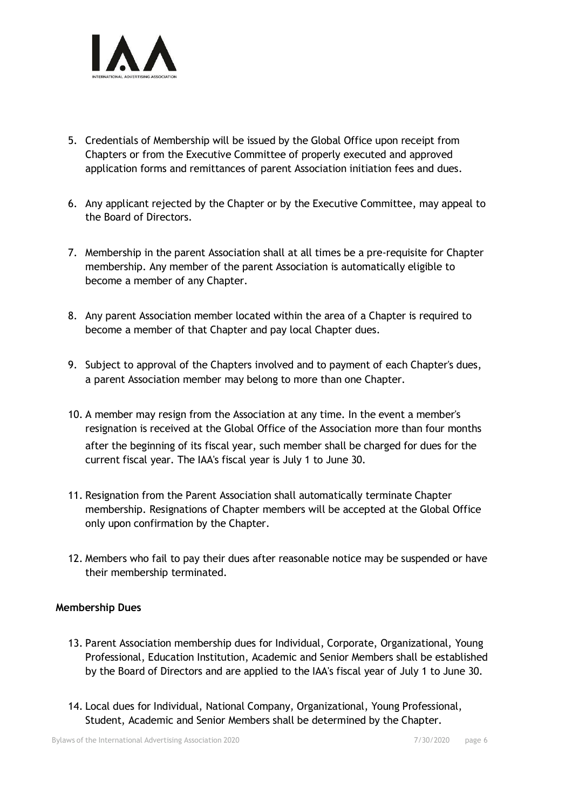

- 5. Credentials of Membership will be issued by the Global Office upon receipt from Chapters or from the Executive Committee of properly executed and approved application forms and remittances of parent Association initiation fees and dues.
- 6. Any applicant rejected by the Chapter or by the Executive Committee, may appeal to the Board of Directors.
- 7. Membership in the parent Association shall at all times be a pre-requisite for Chapter membership. Any member of the parent Association is automatically eligible to become a member of any Chapter.
- 8. Any parent Association member located within the area of a Chapter is required to become a member of that Chapter and pay local Chapter dues.
- 9. Subject to approval of the Chapters involved and to payment of each Chapter's dues, a parent Association member may belong to more than one Chapter.
- 10. A member may resign from the Association at any time. In the event a member's resignation is received at the Global Office of the Association more than four months after the beginning of its fiscal year, such member shall be charged for dues for the current fiscal year. The IAA's fiscal year is July 1 to June 30.
- 11. Resignation from the Parent Association shall automatically terminate Chapter membership. Resignations of Chapter members will be accepted at the Global Office only upon confirmation by the Chapter.
- 12. Members who fail to pay their dues after reasonable notice may be suspended or have their membership terminated.

#### **Membership Dues**

- 13. Parent Association membership dues for Individual, Corporate, Organizational, Young Professional, Education Institution, Academic and Senior Members shall be established by the Board of Directors and are applied to the IAA's fiscal year of July 1 to June 30.
- 14. Local dues for Individual, National Company, Organizational, Young Professional, Student, Academic and Senior Members shall be determined by the Chapter.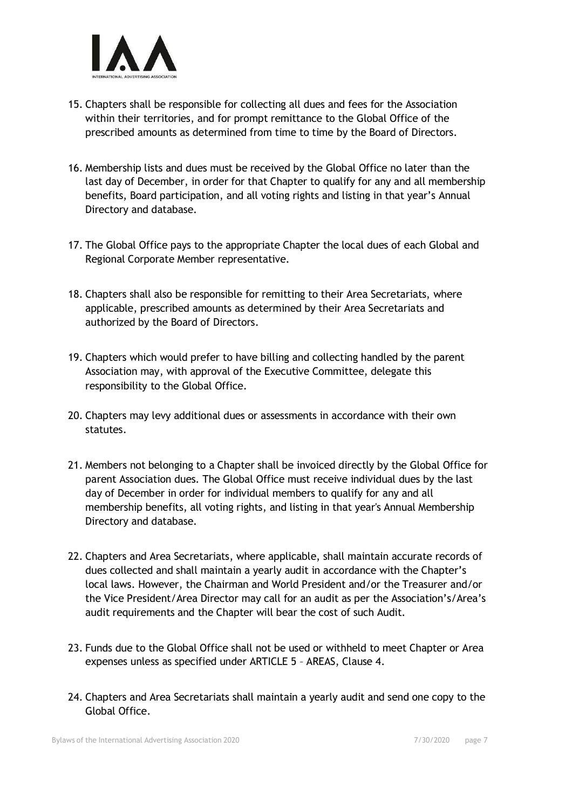

- 15. Chapters shall be responsible for collecting all dues and fees for the Association within their territories, and for prompt remittance to the Global Office of the prescribed amounts as determined from time to time by the Board of Directors.
- 16. Membership lists and dues must be received by the Global Office no later than the last day of December, in order for that Chapter to qualify for any and all membership benefits, Board participation, and all voting rights and listing in that year's Annual Directory and database.
- 17. The Global Office pays to the appropriate Chapter the local dues of each Global and Regional Corporate Member representative.
- 18. Chapters shall also be responsible for remitting to their Area Secretariats, where applicable, prescribed amounts as determined by their Area Secretariats and authorized by the Board of Directors.
- 19. Chapters which would prefer to have billing and collecting handled by the parent Association may, with approval of the Executive Committee, delegate this responsibility to the Global Office.
- 20. Chapters may levy additional dues or assessments in accordance with their own statutes.
- 21. Members not belonging to a Chapter shall be invoiced directly by the Global Office for parent Association dues. The Global Office must receive individual dues by the last day of December in order for individual members to qualify for any and all membership benefits, all voting rights, and listing in that year's Annual Membership Directory and database.
- 22. Chapters and Area Secretariats, where applicable, shall maintain accurate records of dues collected and shall maintain a yearly audit in accordance with the Chapter's local laws. However, the Chairman and World President and/or the Treasurer and/or the Vice President/Area Director may call for an audit as per the Association's/Area's audit requirements and the Chapter will bear the cost of such Audit.
- 23. Funds due to the Global Office shall not be used or withheld to meet Chapter or Area expenses unless as specified under ARTICLE 5 – AREAS, Clause 4.
- 24. Chapters and Area Secretariats shall maintain a yearly audit and send one copy to the Global Office.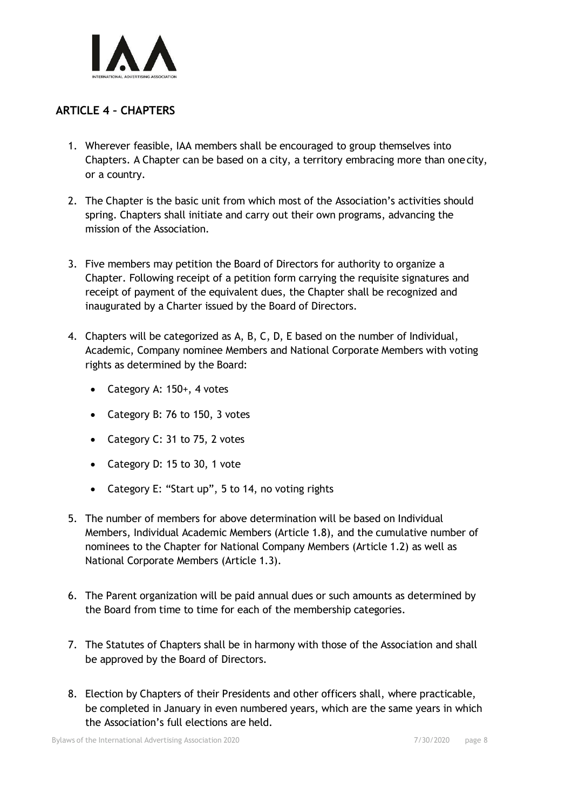

# **ARTICLE 4 – CHAPTERS**

- 1. Wherever feasible, IAA members shall be encouraged to group themselves into Chapters. A Chapter can be based on a city, a territory embracing more than onecity, or a country.
- 2. The Chapter is the basic unit from which most of the Association's activities should spring. Chapters shall initiate and carry out their own programs, advancing the mission of the Association.
- 3. Five members may petition the Board of Directors for authority to organize a Chapter. Following receipt of a petition form carrying the requisite signatures and receipt of payment of the equivalent dues, the Chapter shall be recognized and inaugurated by a Charter issued by the Board of Directors.
- 4. Chapters will be categorized as A, B, C, D, E based on the number of Individual, Academic, Company nominee Members and National Corporate Members with voting rights as determined by the Board:
	- Category A: 150+, 4 votes
	- Category B: 76 to 150, 3 votes
	- Category C: 31 to 75, 2 votes
	- Category D: 15 to 30, 1 vote
	- Category E: "Start up", 5 to 14, no voting rights
- 5. The number of members for above determination will be based on Individual Members, Individual Academic Members (Article 1.8), and the cumulative number of nominees to the Chapter for National Company Members (Article 1.2) as well as National Corporate Members (Article 1.3).
- 6. The Parent organization will be paid annual dues or such amounts as determined by the Board from time to time for each of the membership categories.
- 7. The Statutes of Chapters shall be in harmony with those of the Association and shall be approved by the Board of Directors.
- 8. Election by Chapters of their Presidents and other officers shall, where practicable, be completed in January in even numbered years, which are the same years in which the Association's full elections are held.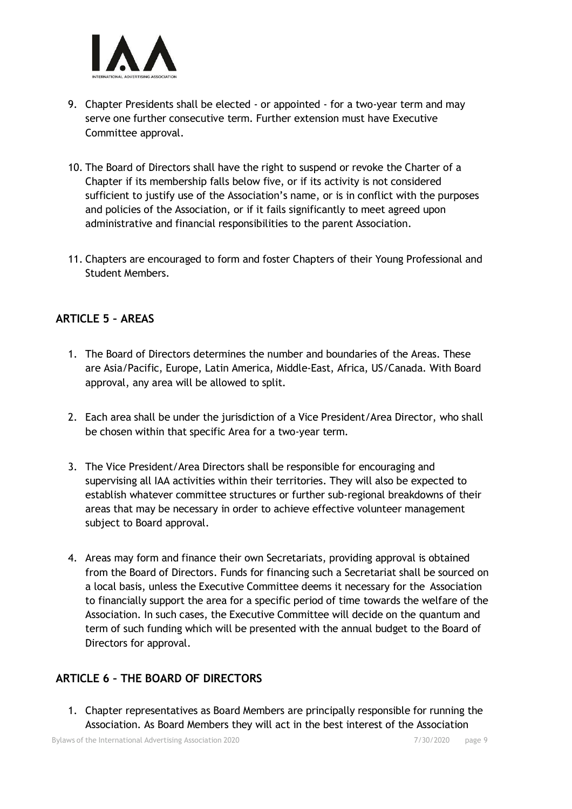

- 9. Chapter Presidents shall be elected or appointed for a two-year term and may serve one further consecutive term. Further extension must have Executive Committee approval.
- 10. The Board of Directors shall have the right to suspend or revoke the Charter of a Chapter if its membership falls below five, or if its activity is not considered sufficient to justify use of the Association's name, or is in conflict with the purposes and policies of the Association, or if it fails significantly to meet agreed upon administrative and financial responsibilities to the parent Association.
- 11. Chapters are encouraged to form and foster Chapters of their Young Professional and Student Members.

# **ARTICLE 5 – AREAS**

- 1. The Board of Directors determines the number and boundaries of the Areas. These are Asia/Pacific, Europe, Latin America, Middle-East, Africa, US/Canada. With Board approval, any area will be allowed to split.
- 2. Each area shall be under the jurisdiction of a Vice President/Area Director, who shall be chosen within that specific Area for a two-year term.
- 3. The Vice President/Area Directors shall be responsible for encouraging and supervising all IAA activities within their territories. They will also be expected to establish whatever committee structures or further sub-regional breakdowns of their areas that may be necessary in order to achieve effective volunteer management subject to Board approval.
- 4. Areas may form and finance their own Secretariats, providing approval is obtained from the Board of Directors. Funds for financing such a Secretariat shall be sourced on a local basis, unless the Executive Committee deems it necessary for the Association to financially support the area for a specific period of time towards the welfare of the Association. In such cases, the Executive Committee will decide on the quantum and term of such funding which will be presented with the annual budget to the Board of Directors for approval.

# **ARTICLE 6 – THE BOARD OF DIRECTORS**

1. Chapter representatives as Board Members are principally responsible for running the Association. As Board Members they will act in the best interest of the Association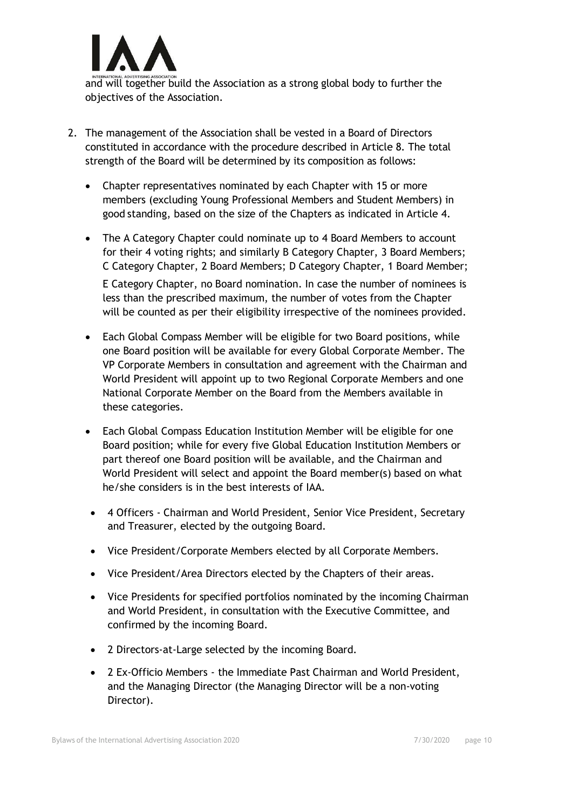

and will together build the Association as a strong global body to further the objectives of the Association.

- 2. The management of the Association shall be vested in a Board of Directors constituted in accordance with the procedure described in Article 8. The total strength of the Board will be determined by its composition as follows:
	- Chapter representatives nominated by each Chapter with 15 or more members (excluding Young Professional Members and Student Members) in good standing, based on the size of the Chapters as indicated in Article 4.
	- The A Category Chapter could nominate up to 4 Board Members to account for their 4 voting rights; and similarly B Category Chapter, 3 Board Members; C Category Chapter, 2 Board Members; D Category Chapter, 1 Board Member; E Category Chapter, no Board nomination. In case the number of nominees is less than the prescribed maximum, the number of votes from the Chapter will be counted as per their eligibility irrespective of the nominees provided.
	- Each Global Compass Member will be eligible for two Board positions, while one Board position will be available for every Global Corporate Member. The VP Corporate Members in consultation and agreement with the Chairman and World President will appoint up to two Regional Corporate Members and one National Corporate Member on the Board from the Members available in these categories.
	- Each Global Compass Education Institution Member will be eligible for one Board position; while for every five Global Education Institution Members or part thereof one Board position will be available, and the Chairman and World President will select and appoint the Board member(s) based on what he/she considers is in the best interests of IAA.
	- 4 Officers Chairman and World President, Senior Vice President, Secretary and Treasurer, elected by the outgoing Board.
	- Vice President/Corporate Members elected by all Corporate Members.
	- Vice President/Area Directors elected by the Chapters of their areas.
	- Vice Presidents for specified portfolios nominated by the incoming Chairman and World President, in consultation with the Executive Committee, and confirmed by the incoming Board.
	- 2 Directors-at-Large selected by the incoming Board.
	- 2 Ex-Officio Members the Immediate Past Chairman and World President, and the Managing Director (the Managing Director will be a non-voting Director).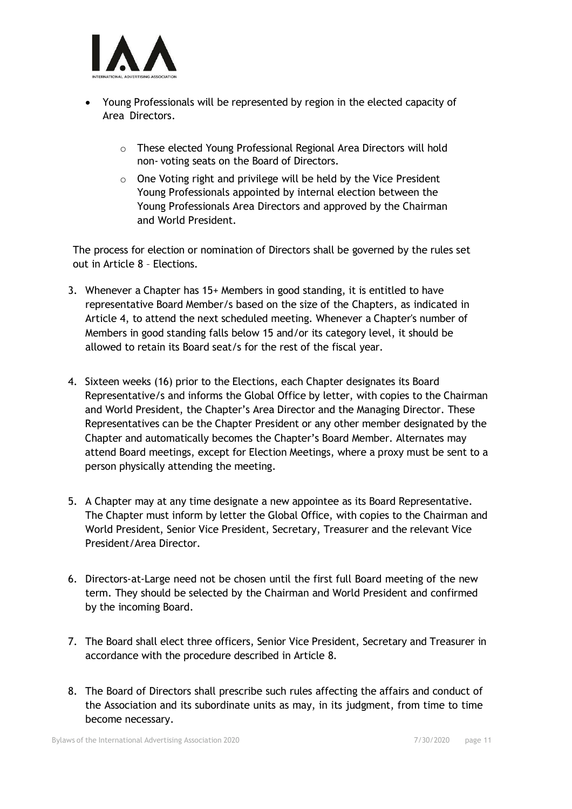

- Young Professionals will be represented by region in the elected capacity of Area Directors.
	- o These elected Young Professional Regional Area Directors will hold non- voting seats on the Board of Directors.
	- $\circ$  One Voting right and privilege will be held by the Vice President Young Professionals appointed by internal election between the Young Professionals Area Directors and approved by the Chairman and World President.

The process for election or nomination of Directors shall be governed by the rules set out in Article 8 – Elections.

- 3. Whenever a Chapter has 15+ Members in good standing, it is entitled to have representative Board Member/s based on the size of the Chapters, as indicated in Article 4, to attend the next scheduled meeting. Whenever a Chapter's number of Members in good standing falls below 15 and/or its category level, it should be allowed to retain its Board seat/s for the rest of the fiscal year.
- 4. Sixteen weeks (16) prior to the Elections, each Chapter designates its Board Representative/s and informs the Global Office by letter, with copies to the Chairman and World President, the Chapter's Area Director and the Managing Director. These Representatives can be the Chapter President or any other member designated by the Chapter and automatically becomes the Chapter's Board Member. Alternates may attend Board meetings, except for Election Meetings, where a proxy must be sent to a person physically attending the meeting.
- 5. A Chapter may at any time designate a new appointee as its Board Representative. The Chapter must inform by letter the Global Office, with copies to the Chairman and World President, Senior Vice President, Secretary, Treasurer and the relevant Vice President/Area Director.
- 6. Directors-at-Large need not be chosen until the first full Board meeting of the new term. They should be selected by the Chairman and World President and confirmed by the incoming Board.
- 7. The Board shall elect three officers, Senior Vice President, Secretary and Treasurer in accordance with the procedure described in Article 8.
- 8. The Board of Directors shall prescribe such rules affecting the affairs and conduct of the Association and its subordinate units as may, in its judgment, from time to time become necessary.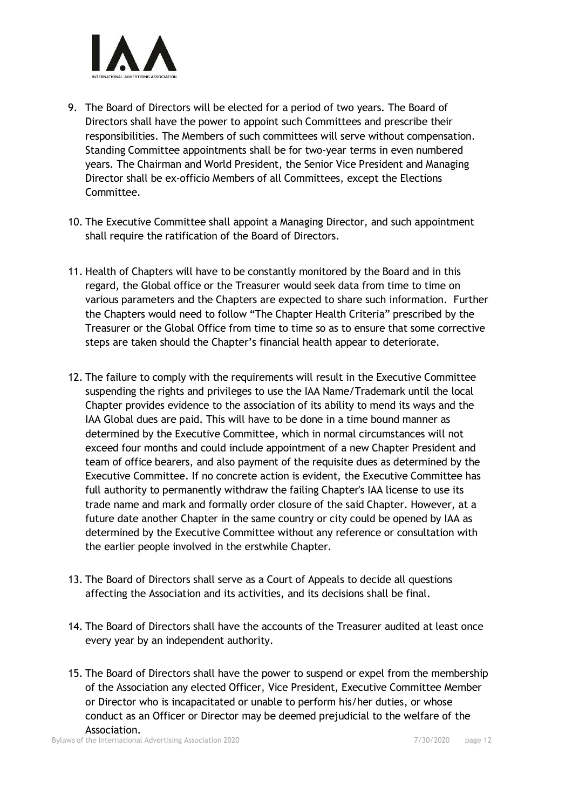

- 9. The Board of Directors will be elected for a period of two years. The Board of Directors shall have the power to appoint such Committees and prescribe their responsibilities. The Members of such committees will serve without compensation. Standing Committee appointments shall be for two-year terms in even numbered years. The Chairman and World President, the Senior Vice President and Managing Director shall be ex-officio Members of all Committees, except the Elections Committee.
- 10. The Executive Committee shall appoint a Managing Director, and such appointment shall require the ratification of the Board of Directors.
- 11. Health of Chapters will have to be constantly monitored by the Board and in this regard, the Global office or the Treasurer would seek data from time to time on various parameters and the Chapters are expected to share such information. Further the Chapters would need to follow "The Chapter Health Criteria" prescribed by the Treasurer or the Global Office from time to time so as to ensure that some corrective steps are taken should the Chapter's financial health appear to deteriorate.
- 12. The failure to comply with the requirements will result in the Executive Committee suspending the rights and privileges to use the IAA Name/Trademark until the local Chapter provides evidence to the association of its ability to mend its ways and the IAA Global dues are paid. This will have to be done in a time bound manner as determined by the Executive Committee, which in normal circumstances will not exceed four months and could include appointment of a new Chapter President and team of office bearers, and also payment of the requisite dues as determined by the Executive Committee. If no concrete action is evident, the Executive Committee has full authority to permanently withdraw the failing Chapter's IAA license to use its trade name and mark and formally order closure of the said Chapter. However, at a future date another Chapter in the same country or city could be opened by IAA as determined by the Executive Committee without any reference or consultation with the earlier people involved in the erstwhile Chapter.
- 13. The Board of Directors shall serve as a Court of Appeals to decide all questions affecting the Association and its activities, and its decisions shall be final.
- 14. The Board of Directors shall have the accounts of the Treasurer audited at least once every year by an independent authority.
- 15. The Board of Directors shall have the power to suspend or expel from the membership of the Association any elected Officer, Vice President, Executive Committee Member or Director who is incapacitated or unable to perform his/her duties, or whose conduct as an Officer or Director may be deemed prejudicial to the welfare of the Association.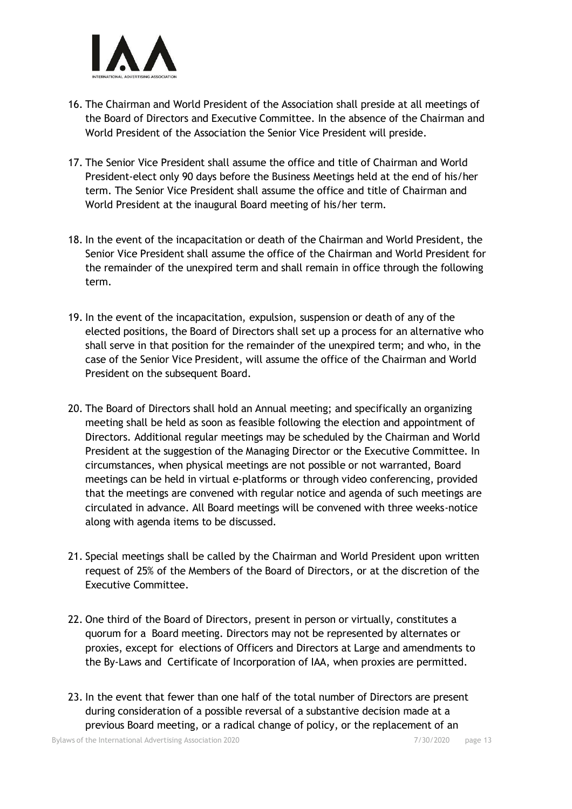

- 16. The Chairman and World President of the Association shall preside at all meetings of the Board of Directors and Executive Committee. In the absence of the Chairman and World President of the Association the Senior Vice President will preside.
- 17. The Senior Vice President shall assume the office and title of Chairman and World President-elect only 90 days before the Business Meetings held at the end of his/her term. The Senior Vice President shall assume the office and title of Chairman and World President at the inaugural Board meeting of his/her term.
- 18. In the event of the incapacitation or death of the Chairman and World President, the Senior Vice President shall assume the office of the Chairman and World President for the remainder of the unexpired term and shall remain in office through the following term.
- 19. In the event of the incapacitation, expulsion, suspension or death of any of the elected positions, the Board of Directors shall set up a process for an alternative who shall serve in that position for the remainder of the unexpired term; and who, in the case of the Senior Vice President, will assume the office of the Chairman and World President on the subsequent Board.
- 20. The Board of Directors shall hold an Annual meeting; and specifically an organizing meeting shall be held as soon as feasible following the election and appointment of Directors. Additional regular meetings may be scheduled by the Chairman and World President at the suggestion of the Managing Director or the Executive Committee. In circumstances, when physical meetings are not possible or not warranted, Board meetings can be held in virtual e-platforms or through video conferencing, provided that the meetings are convened with regular notice and agenda of such meetings are circulated in advance. All Board meetings will be convened with three weeks-notice along with agenda items to be discussed.
- 21. Special meetings shall be called by the Chairman and World President upon written request of 25% of the Members of the Board of Directors, or at the discretion of the Executive Committee.
- 22. One third of the Board of Directors, present in person or virtually, constitutes a quorum for a Board meeting. Directors may not be represented by alternates or proxies, except for elections of Officers and Directors at Large and amendments to the By-Laws and Certificate of Incorporation of IAA, when proxies are permitted.
- 23. In the event that fewer than one half of the total number of Directors are present during consideration of a possible reversal of a substantive decision made at a previous Board meeting, or a radical change of policy, or the replacement of an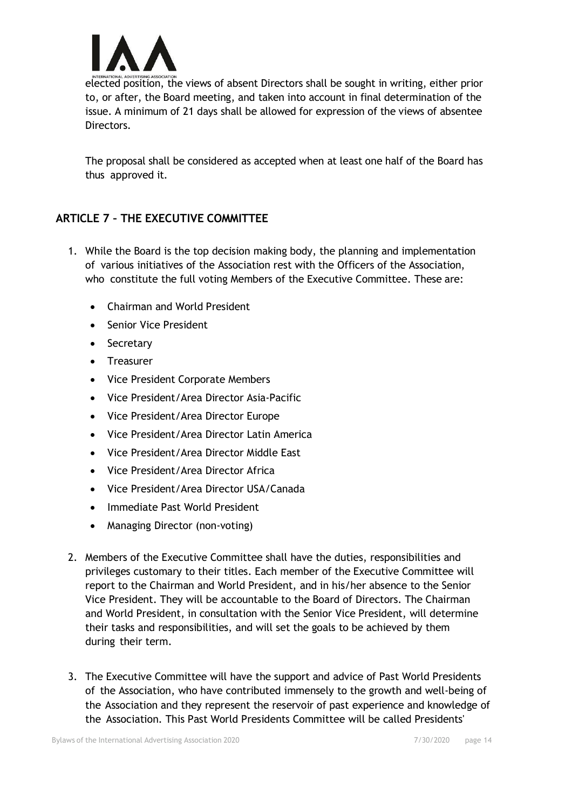

elected position, the views of absent Directors shall be sought in writing, either prior to, or after, the Board meeting, and taken into account in final determination of the issue. A minimum of 21 days shall be allowed for expression of the views of absentee **Directors** 

The proposal shall be considered as accepted when at least one half of the Board has thus approved it.

# **ARTICLE 7 – THE EXECUTIVE COMMITTEE**

- 1. While the Board is the top decision making body, the planning and implementation of various initiatives of the Association rest with the Officers of the Association, who constitute the full voting Members of the Executive Committee. These are:
	- Chairman and World President
	- Senior Vice President
	- Secretary
	- Treasurer
	- Vice President Corporate Members
	- Vice President/Area Director Asia-Pacific
	- Vice President/Area Director Europe
	- Vice President/Area Director Latin America
	- Vice President/Area Director Middle East
	- Vice President/Area Director Africa
	- Vice President/Area Director USA/Canada
	- Immediate Past World President
	- Managing Director (non-voting)
- 2. Members of the Executive Committee shall have the duties, responsibilities and privileges customary to their titles. Each member of the Executive Committee will report to the Chairman and World President, and in his/her absence to the Senior Vice President. They will be accountable to the Board of Directors. The Chairman and World President, in consultation with the Senior Vice President, will determine their tasks and responsibilities, and will set the goals to be achieved by them during their term.
- 3. The Executive Committee will have the support and advice of Past World Presidents of the Association, who have contributed immensely to the growth and well-being of the Association and they represent the reservoir of past experience and knowledge of the Association. This Past World Presidents Committee will be called Presidents'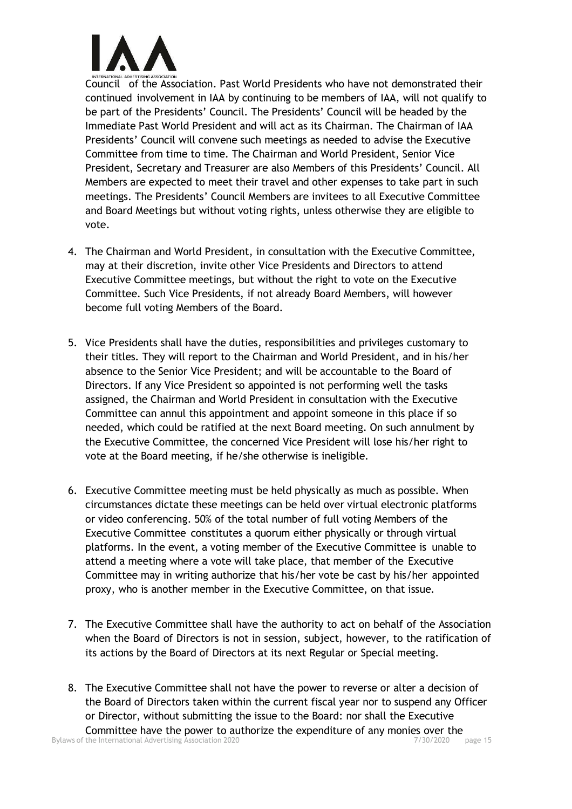

Council of the Association. Past World Presidents who have not demonstrated their continued involvement in IAA by continuing to be members of IAA, will not qualify to be part of the Presidents' Council. The Presidents' Council will be headed by the Immediate Past World President and will act as its Chairman. The Chairman of IAA Presidents' Council will convene such meetings as needed to advise the Executive Committee from time to time. The Chairman and World President, Senior Vice President, Secretary and Treasurer are also Members of this Presidents' Council. All Members are expected to meet their travel and other expenses to take part in such meetings. The Presidents' Council Members are invitees to all Executive Committee and Board Meetings but without voting rights, unless otherwise they are eligible to vote.

- 4. The Chairman and World President, in consultation with the Executive Committee, may at their discretion, invite other Vice Presidents and Directors to attend Executive Committee meetings, but without the right to vote on the Executive Committee. Such Vice Presidents, if not already Board Members, will however become full voting Members of the Board.
- 5. Vice Presidents shall have the duties, responsibilities and privileges customary to their titles. They will report to the Chairman and World President, and in his/her absence to the Senior Vice President; and will be accountable to the Board of Directors. If any Vice President so appointed is not performing well the tasks assigned, the Chairman and World President in consultation with the Executive Committee can annul this appointment and appoint someone in this place if so needed, which could be ratified at the next Board meeting. On such annulment by the Executive Committee, the concerned Vice President will lose his/her right to vote at the Board meeting, if he/she otherwise is ineligible.
- 6. Executive Committee meeting must be held physically as much as possible. When circumstances dictate these meetings can be held over virtual electronic platforms or video conferencing. 50% of the total number of full voting Members of the Executive Committee constitutes a quorum either physically or through virtual platforms. In the event, a voting member of the Executive Committee is unable to attend a meeting where a vote will take place, that member of the Executive Committee may in writing authorize that his/her vote be cast by his/her appointed proxy, who is another member in the Executive Committee, on that issue.
- 7. The Executive Committee shall have the authority to act on behalf of the Association when the Board of Directors is not in session, subject, however, to the ratification of its actions by the Board of Directors at its next Regular or Special meeting.
- Bylaws of the International Advertising Association 2020 **7/30/2020** page 15 8. The Executive Committee shall not have the power to reverse or alter a decision of the Board of Directors taken within the current fiscal year nor to suspend any Officer or Director, without submitting the issue to the Board: nor shall the Executive Committee have the power to authorize the expenditure of any monies over the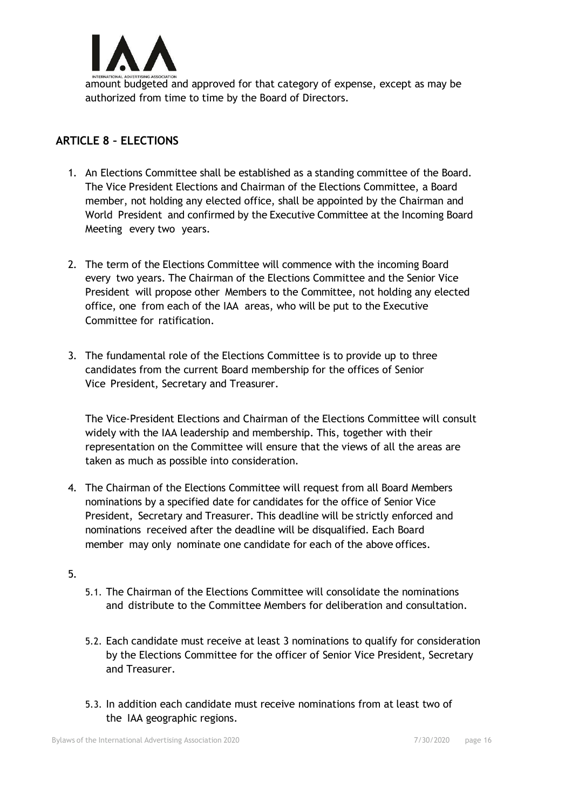

amount budgeted and approved for that category of expense, except as may be authorized from time to time by the Board of Directors.

# **ARTICLE 8 – ELECTIONS**

- 1. An Elections Committee shall be established as a standing committee of the Board. The Vice President Elections and Chairman of the Elections Committee, a Board member, not holding any elected office, shall be appointed by the Chairman and World President and confirmed by the Executive Committee at the Incoming Board Meeting every two years.
- 2. The term of the Elections Committee will commence with the incoming Board every two years. The Chairman of the Elections Committee and the Senior Vice President will propose other Members to the Committee, not holding any elected office, one from each of the IAA areas, who will be put to the Executive Committee for ratification.
- 3. The fundamental role of the Elections Committee is to provide up to three candidates from the current Board membership for the offices of Senior Vice President, Secretary and Treasurer.

The Vice-President Elections and Chairman of the Elections Committee will consult widely with the IAA leadership and membership. This, together with their representation on the Committee will ensure that the views of all the areas are taken as much as possible into consideration.

- 4. The Chairman of the Elections Committee will request from all Board Members nominations by a specified date for candidates for the office of Senior Vice President, Secretary and Treasurer. This deadline will be strictly enforced and nominations received after the deadline will be disqualified. Each Board member may only nominate one candidate for each of the above offices.
- 5.
- 5.1. The Chairman of the Elections Committee will consolidate the nominations and distribute to the Committee Members for deliberation and consultation.
- 5.2. Each candidate must receive at least 3 nominations to qualify for consideration by the Elections Committee for the officer of Senior Vice President, Secretary and Treasurer.
- 5.3. In addition each candidate must receive nominations from at least two of the IAA geographic regions.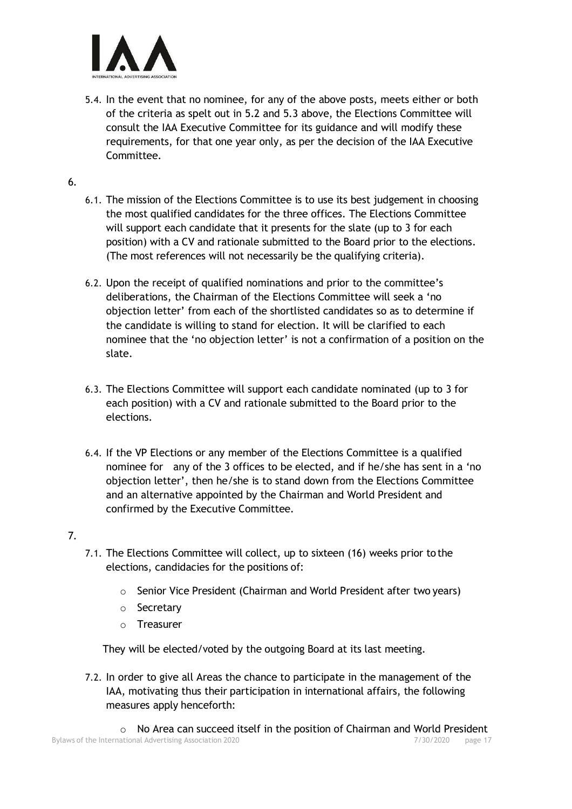

5.4. In the event that no nominee, for any of the above posts, meets either or both of the criteria as spelt out in 5.2 and 5.3 above, the Elections Committee will consult the IAA Executive Committee for its guidance and will modify these requirements, for that one year only, as per the decision of the IAA Executive Committee.

#### 6.

- 6.1. The mission of the Elections Committee is to use its best judgement in choosing the most qualified candidates for the three offices. The Elections Committee will support each candidate that it presents for the slate (up to 3 for each position) with a CV and rationale submitted to the Board prior to the elections. (The most references will not necessarily be the qualifying criteria).
- 6.2. Upon the receipt of qualified nominations and prior to the committee's deliberations, the Chairman of the Elections Committee will seek a 'no objection letter' from each of the shortlisted candidates so as to determine if the candidate is willing to stand for election. It will be clarified to each nominee that the 'no objection letter' is not a confirmation of a position on the slate.
- 6.3. The Elections Committee will support each candidate nominated (up to 3 for each position) with a CV and rationale submitted to the Board prior to the elections.
- 6.4. If the VP Elections or any member of the Elections Committee is a qualified nominee for any of the 3 offices to be elected, and if he/she has sent in a 'no objection letter', then he/she is to stand down from the Elections Committee and an alternative appointed by the Chairman and World President and confirmed by the Executive Committee.

#### 7.

- 7.1. The Elections Committee will collect, up to sixteen (16) weeks prior to the elections, candidacies for the positions of:
	- o Senior Vice President (Chairman and World President after two years)
	- o Secretary
	- o Treasurer

They will be elected/voted by the outgoing Board at its last meeting.

7.2. In order to give all Areas the chance to participate in the management of the IAA, motivating thus their participation in international affairs, the following measures apply henceforth: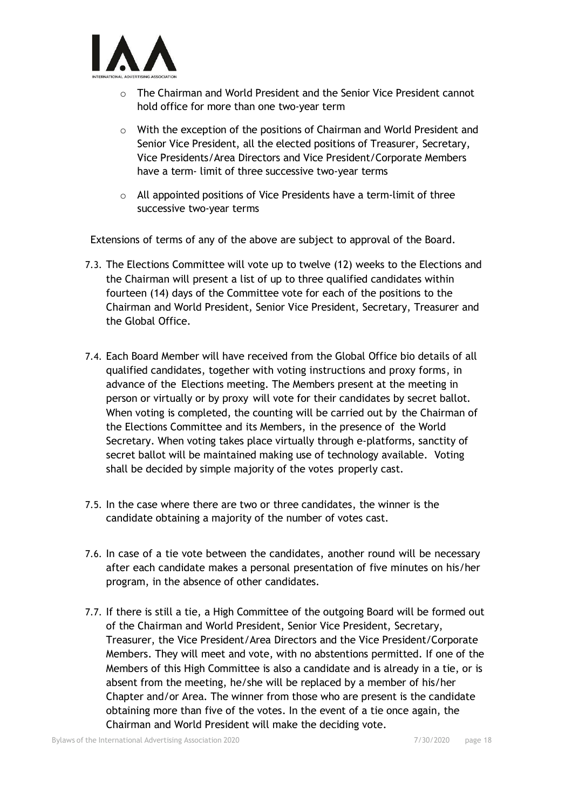

- $\circ$  The Chairman and World President and the Senior Vice President cannot hold office for more than one two-year term
- o With the exception of the positions of Chairman and World President and Senior Vice President, all the elected positions of Treasurer, Secretary, Vice Presidents/Area Directors and Vice President/Corporate Members have a term- limit of three successive two-year terms
- o All appointed positions of Vice Presidents have a term-limit of three successive two-year terms

Extensions of terms of any of the above are subject to approval of the Board.

- 7.3. The Elections Committee will vote up to twelve (12) weeks to the Elections and the Chairman will present a list of up to three qualified candidates within fourteen (14) days of the Committee vote for each of the positions to the Chairman and World President, Senior Vice President, Secretary, Treasurer and the Global Office.
- 7.4. Each Board Member will have received from the Global Office bio details of all qualified candidates, together with voting instructions and proxy forms, in advance of the Elections meeting. The Members present at the meeting in person or virtually or by proxy will vote for their candidates by secret ballot. When voting is completed, the counting will be carried out by the Chairman of the Elections Committee and its Members, in the presence of the World Secretary. When voting takes place virtually through e-platforms, sanctity of secret ballot will be maintained making use of technology available. Voting shall be decided by simple majority of the votes properly cast.
- 7.5. In the case where there are two or three candidates, the winner is the candidate obtaining a majority of the number of votes cast.
- 7.6. In case of a tie vote between the candidates, another round will be necessary after each candidate makes a personal presentation of five minutes on his/her program, in the absence of other candidates.
- 7.7. If there is still a tie, a High Committee of the outgoing Board will be formed out of the Chairman and World President, Senior Vice President, Secretary, Treasurer, the Vice President/Area Directors and the Vice President/Corporate Members. They will meet and vote, with no abstentions permitted. If one of the Members of this High Committee is also a candidate and is already in a tie, or is absent from the meeting, he/she will be replaced by a member of his/her Chapter and/or Area. The winner from those who are present is the candidate obtaining more than five of the votes. In the event of a tie once again, the Chairman and World President will make the deciding vote.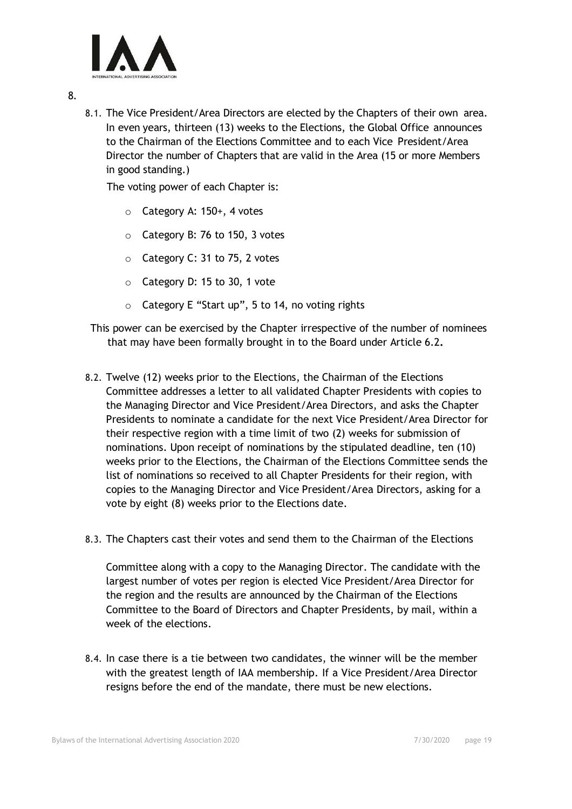

- 8.
- 8.1. The Vice President/Area Directors are elected by the Chapters of their own area. In even years, thirteen (13) weeks to the Elections, the Global Office announces to the Chairman of the Elections Committee and to each Vice President/Area Director the number of Chapters that are valid in the Area (15 or more Members in good standing.)

The voting power of each Chapter is:

- o Category A: 150+, 4 votes
- o Category B: 76 to 150, 3 votes
- o Category C: 31 to 75, 2 votes
- o Category D: 15 to 30, 1 vote
- o Category E "Start up", 5 to 14, no voting rights

This power can be exercised by the Chapter irrespective of the number of nominees that may have been formally brought in to the Board under Article 6.2**.**

- 8.2. Twelve (12) weeks prior to the Elections, the Chairman of the Elections Committee addresses a letter to all validated Chapter Presidents with copies to the Managing Director and Vice President/Area Directors, and asks the Chapter Presidents to nominate a candidate for the next Vice President/Area Director for their respective region with a time limit of two (2) weeks for submission of nominations. Upon receipt of nominations by the stipulated deadline, ten (10) weeks prior to the Elections, the Chairman of the Elections Committee sends the list of nominations so received to all Chapter Presidents for their region, with copies to the Managing Director and Vice President/Area Directors, asking for a vote by eight (8) weeks prior to the Elections date.
- 8.3. The Chapters cast their votes and send them to the Chairman of the Elections

Committee along with a copy to the Managing Director. The candidate with the largest number of votes per region is elected Vice President/Area Director for the region and the results are announced by the Chairman of the Elections Committee to the Board of Directors and Chapter Presidents, by mail, within a week of the elections.

8.4. In case there is a tie between two candidates, the winner will be the member with the greatest length of IAA membership. If a Vice President/Area Director resigns before the end of the mandate, there must be new elections.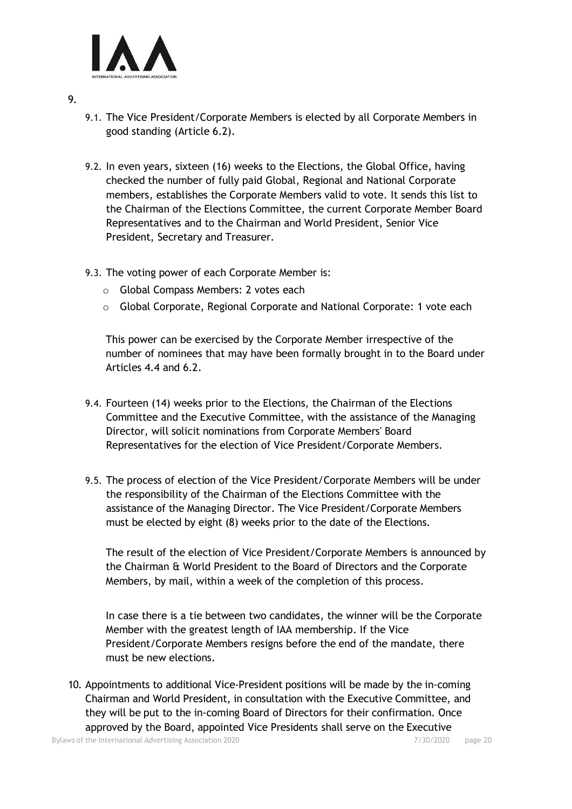

- 9.
- 9.1. The Vice President/Corporate Members is elected by all Corporate Members in good standing (Article 6.2).
- 9.2. In even years, sixteen (16) weeks to the Elections, the Global Office, having checked the number of fully paid Global, Regional and National Corporate members, establishes the Corporate Members valid to vote. It sends this list to the Chairman of the Elections Committee, the current Corporate Member Board Representatives and to the Chairman and World President, Senior Vice President, Secretary and Treasurer.
- 9.3. The voting power of each Corporate Member is:
	- o Global Compass Members: 2 votes each
	- $\circ$  Global Corporate, Regional Corporate and National Corporate: 1 vote each

This power can be exercised by the Corporate Member irrespective of the number of nominees that may have been formally brought in to the Board under Articles 4.4 and 6.2.

- 9.4. Fourteen (14) weeks prior to the Elections, the Chairman of the Elections Committee and the Executive Committee, with the assistance of the Managing Director, will solicit nominations from Corporate Members' Board Representatives for the election of Vice President/Corporate Members.
- 9.5. The process of election of the Vice President/Corporate Members will be under the responsibility of the Chairman of the Elections Committee with the assistance of the Managing Director. The Vice President/Corporate Members must be elected by eight (8) weeks prior to the date of the Elections.

The result of the election of Vice President/Corporate Members is announced by the Chairman & World President to the Board of Directors and the Corporate Members, by mail, within a week of the completion of this process.

In case there is a tie between two candidates, the winner will be the Corporate Member with the greatest length of IAA membership. If the Vice President/Corporate Members resigns before the end of the mandate, there must be new elections.

10. Appointments to additional Vice-President positions will be made by the in-coming Chairman and World President, in consultation with the Executive Committee, and they will be put to the in-coming Board of Directors for their confirmation. Once approved by the Board, appointed Vice Presidents shall serve on the Executive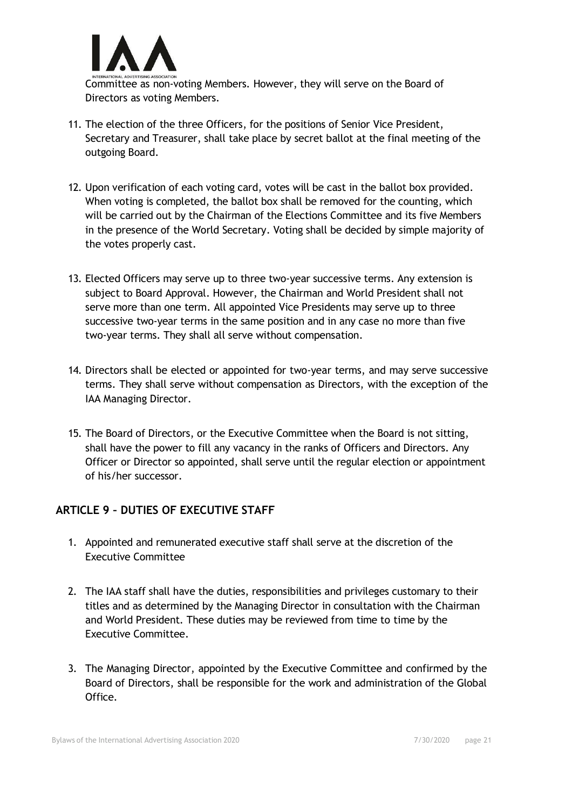

Committee as non-voting Members. However, they will serve on the Board of Directors as voting Members.

- 11. The election of the three Officers, for the positions of Senior Vice President, Secretary and Treasurer, shall take place by secret ballot at the final meeting of the outgoing Board.
- 12. Upon verification of each voting card, votes will be cast in the ballot box provided. When voting is completed, the ballot box shall be removed for the counting, which will be carried out by the Chairman of the Elections Committee and its five Members in the presence of the World Secretary. Voting shall be decided by simple majority of the votes properly cast.
- 13. Elected Officers may serve up to three two-year successive terms. Any extension is subject to Board Approval. However, the Chairman and World President shall not serve more than one term. All appointed Vice Presidents may serve up to three successive two-year terms in the same position and in any case no more than five two-year terms. They shall all serve without compensation.
- 14. Directors shall be elected or appointed for two-year terms, and may serve successive terms. They shall serve without compensation as Directors, with the exception of the IAA Managing Director.
- 15. The Board of Directors, or the Executive Committee when the Board is not sitting, shall have the power to fill any vacancy in the ranks of Officers and Directors. Any Officer or Director so appointed, shall serve until the regular election or appointment of his/her successor.

# **ARTICLE 9 – DUTIES OF EXECUTIVE STAFF**

- 1. Appointed and remunerated executive staff shall serve at the discretion of the Executive Committee
- 2. The IAA staff shall have the duties, responsibilities and privileges customary to their titles and as determined by the Managing Director in consultation with the Chairman and World President. These duties may be reviewed from time to time by the Executive Committee.
- 3. The Managing Director, appointed by the Executive Committee and confirmed by the Board of Directors, shall be responsible for the work and administration of the Global Office.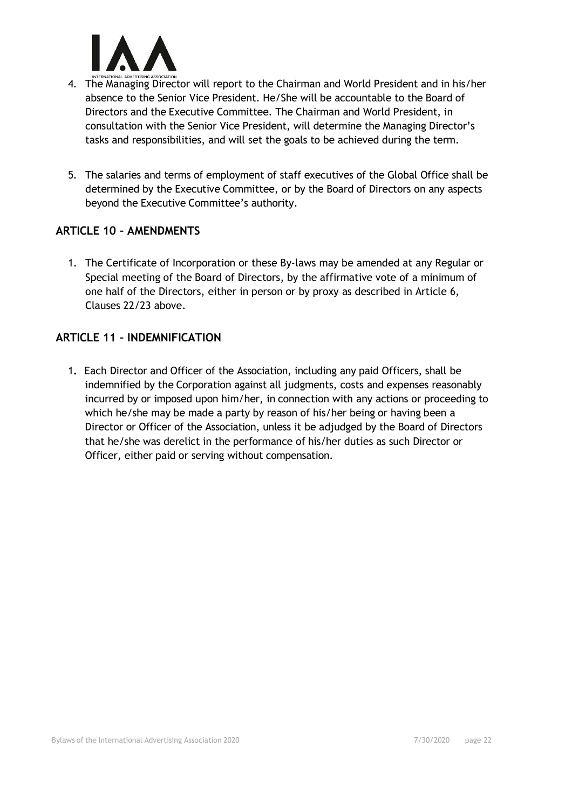

- 4. The Managing Director will report to the Chairman and World President and in his/her absence to the Senior Vice President. He/She will be accountable to the Board of Directors and the Executive Committee. The Chairman and World President, in consultation with the Senior Vice President, will determine the Managing Director's tasks and responsibilities, and will set the goals to be achieved during the term.
- 5. The salaries and terms of employment of staff executives of the Global Office shall be determined by the Executive Committee, or by the Board of Directors on any aspects beyond the Executive Committee's authority.

#### **ARTICLE 10 – AMENDMENTS**

1. The Certificate of Incorporation or these By-laws may be amended at any Regular or Special meeting of the Board of Directors, by the affirmative vote of a minimum of one half of the Directors, either in person or by proxy as described in Article 6, Clauses 22/23 above.

#### **ARTICLE 11 – INDEMNIFICATION**

1**.** Each Director and Officer of the Association, including any paid Officers, shall be indemnified by the Corporation against all judgments, costs and expenses reasonably incurred by or imposed upon him/her, in connection with any actions or proceeding to which he/she may be made a party by reason of his/her being or having been a Director or Officer of the Association, unless it be adjudged by the Board of Directors that he/she was derelict in the performance of his/her duties as such Director or Officer, either paid or serving without compensation.